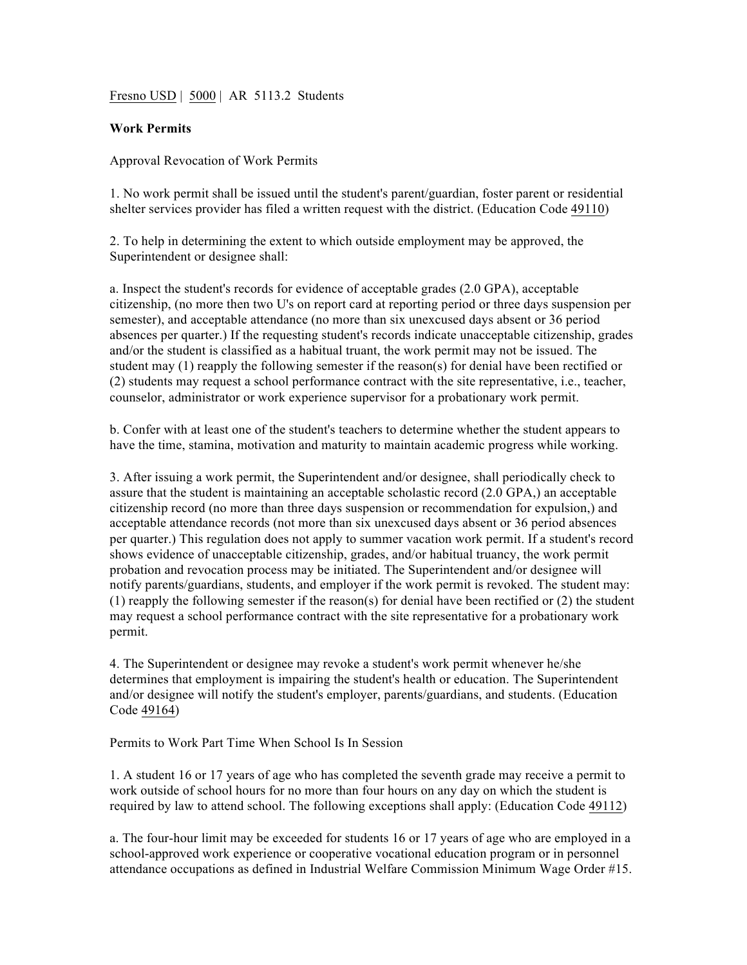Fresno USD | 5000 | AR 5113.2 Students

## **Work Permits**

## Approval Revocation of Work Permits

1. No work permit shall be issued until the student's parent/guardian, foster parent or residential shelter services provider has filed a written request with the district. (Education Code 49110)

2. To help in determining the extent to which outside employment may be approved, the Superintendent or designee shall:

a. Inspect the student's records for evidence of acceptable grades (2.0 GPA), acceptable citizenship, (no more then two U's on report card at reporting period or three days suspension per semester), and acceptable attendance (no more than six unexcused days absent or 36 period absences per quarter.) If the requesting student's records indicate unacceptable citizenship, grades and/or the student is classified as a habitual truant, the work permit may not be issued. The student may (1) reapply the following semester if the reason(s) for denial have been rectified or (2) students may request a school performance contract with the site representative, i.e., teacher, counselor, administrator or work experience supervisor for a probationary work permit.

b. Confer with at least one of the student's teachers to determine whether the student appears to have the time, stamina, motivation and maturity to maintain academic progress while working.

3. After issuing a work permit, the Superintendent and/or designee, shall periodically check to assure that the student is maintaining an acceptable scholastic record (2.0 GPA,) an acceptable citizenship record (no more than three days suspension or recommendation for expulsion,) and acceptable attendance records (not more than six unexcused days absent or 36 period absences per quarter.) This regulation does not apply to summer vacation work permit. If a student's record shows evidence of unacceptable citizenship, grades, and/or habitual truancy, the work permit probation and revocation process may be initiated. The Superintendent and/or designee will notify parents/guardians, students, and employer if the work permit is revoked. The student may:  $(1)$  reapply the following semester if the reason(s) for denial have been rectified or  $(2)$  the student may request a school performance contract with the site representative for a probationary work permit.

4. The Superintendent or designee may revoke a student's work permit whenever he/she determines that employment is impairing the student's health or education. The Superintendent and/or designee will notify the student's employer, parents/guardians, and students. (Education Code 49164)

Permits to Work Part Time When School Is In Session

1. A student 16 or 17 years of age who has completed the seventh grade may receive a permit to work outside of school hours for no more than four hours on any day on which the student is required by law to attend school. The following exceptions shall apply: (Education Code 49112)

a. The four-hour limit may be exceeded for students 16 or 17 years of age who are employed in a school-approved work experience or cooperative vocational education program or in personnel attendance occupations as defined in Industrial Welfare Commission Minimum Wage Order #15.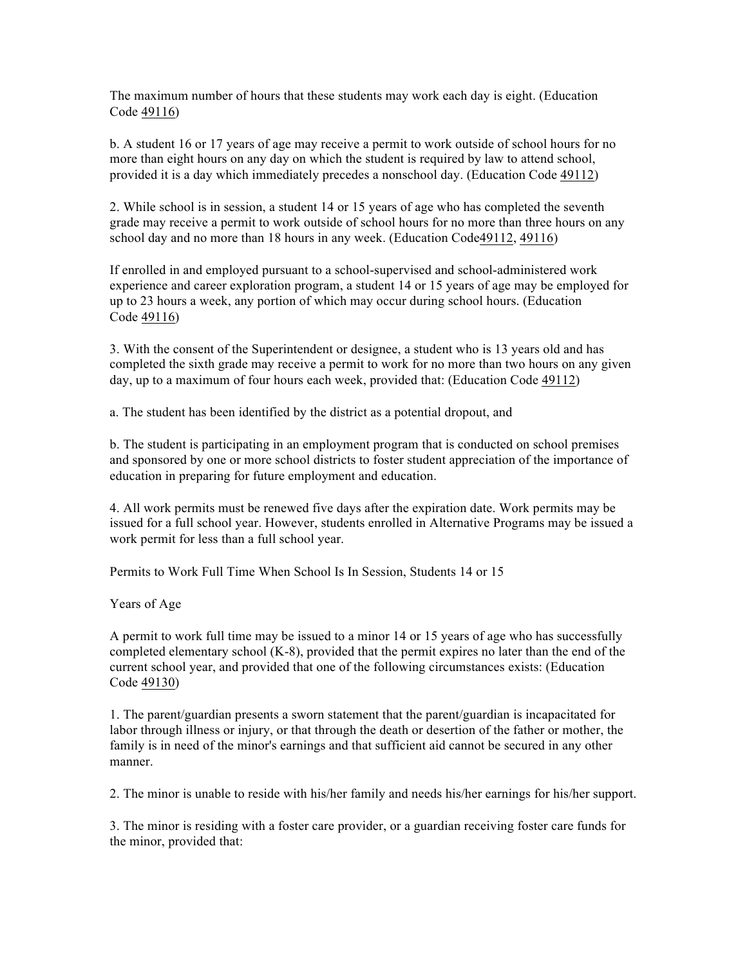The maximum number of hours that these students may work each day is eight. (Education Code 49116)

b. A student 16 or 17 years of age may receive a permit to work outside of school hours for no more than eight hours on any day on which the student is required by law to attend school, provided it is a day which immediately precedes a nonschool day. (Education Code 49112)

2. While school is in session, a student 14 or 15 years of age who has completed the seventh grade may receive a permit to work outside of school hours for no more than three hours on any school day and no more than 18 hours in any week. (Education Code49112, 49116)

If enrolled in and employed pursuant to a school-supervised and school-administered work experience and career exploration program, a student 14 or 15 years of age may be employed for up to 23 hours a week, any portion of which may occur during school hours. (Education Code 49116)

3. With the consent of the Superintendent or designee, a student who is 13 years old and has completed the sixth grade may receive a permit to work for no more than two hours on any given day, up to a maximum of four hours each week, provided that: (Education Code 49112)

a. The student has been identified by the district as a potential dropout, and

b. The student is participating in an employment program that is conducted on school premises and sponsored by one or more school districts to foster student appreciation of the importance of education in preparing for future employment and education.

4. All work permits must be renewed five days after the expiration date. Work permits may be issued for a full school year. However, students enrolled in Alternative Programs may be issued a work permit for less than a full school year.

Permits to Work Full Time When School Is In Session, Students 14 or 15

Years of Age

A permit to work full time may be issued to a minor 14 or 15 years of age who has successfully completed elementary school (K-8), provided that the permit expires no later than the end of the current school year, and provided that one of the following circumstances exists: (Education Code 49130)

1. The parent/guardian presents a sworn statement that the parent/guardian is incapacitated for labor through illness or injury, or that through the death or desertion of the father or mother, the family is in need of the minor's earnings and that sufficient aid cannot be secured in any other manner.

2. The minor is unable to reside with his/her family and needs his/her earnings for his/her support.

3. The minor is residing with a foster care provider, or a guardian receiving foster care funds for the minor, provided that: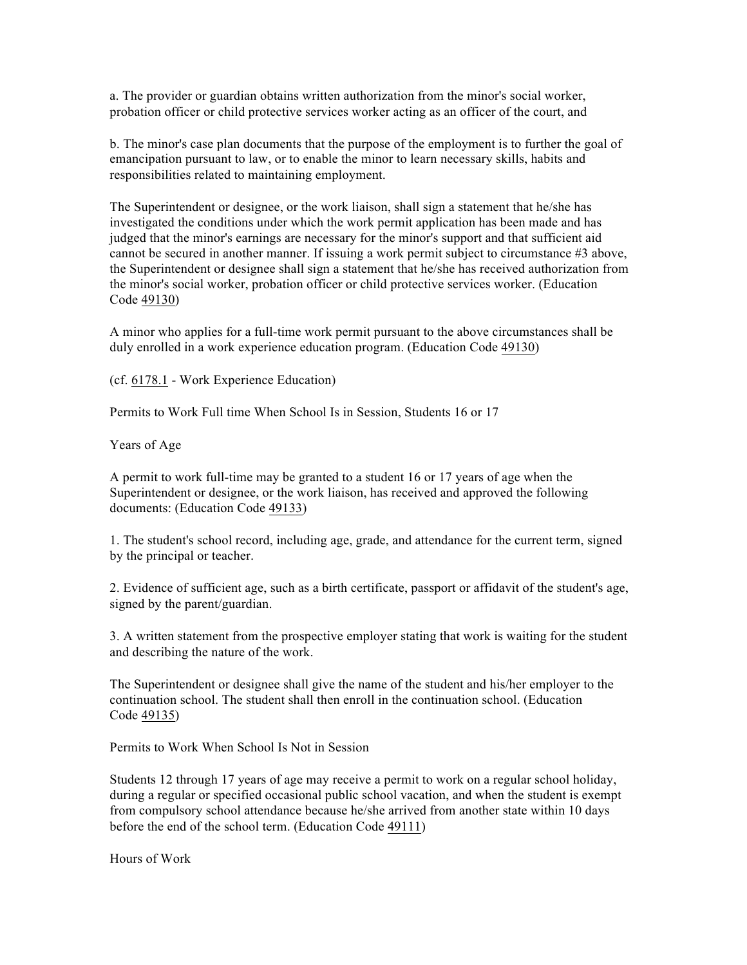a. The provider or guardian obtains written authorization from the minor's social worker, probation officer or child protective services worker acting as an officer of the court, and

b. The minor's case plan documents that the purpose of the employment is to further the goal of emancipation pursuant to law, or to enable the minor to learn necessary skills, habits and responsibilities related to maintaining employment.

The Superintendent or designee, or the work liaison, shall sign a statement that he/she has investigated the conditions under which the work permit application has been made and has judged that the minor's earnings are necessary for the minor's support and that sufficient aid cannot be secured in another manner. If issuing a work permit subject to circumstance #3 above, the Superintendent or designee shall sign a statement that he/she has received authorization from the minor's social worker, probation officer or child protective services worker. (Education Code 49130)

A minor who applies for a full-time work permit pursuant to the above circumstances shall be duly enrolled in a work experience education program. (Education Code 49130)

(cf. 6178.1 - Work Experience Education)

Permits to Work Full time When School Is in Session, Students 16 or 17

Years of Age

A permit to work full-time may be granted to a student 16 or 17 years of age when the Superintendent or designee, or the work liaison, has received and approved the following documents: (Education Code 49133)

1. The student's school record, including age, grade, and attendance for the current term, signed by the principal or teacher.

2. Evidence of sufficient age, such as a birth certificate, passport or affidavit of the student's age, signed by the parent/guardian.

3. A written statement from the prospective employer stating that work is waiting for the student and describing the nature of the work.

The Superintendent or designee shall give the name of the student and his/her employer to the continuation school. The student shall then enroll in the continuation school. (Education Code 49135)

Permits to Work When School Is Not in Session

Students 12 through 17 years of age may receive a permit to work on a regular school holiday, during a regular or specified occasional public school vacation, and when the student is exempt from compulsory school attendance because he/she arrived from another state within 10 days before the end of the school term. (Education Code 49111)

Hours of Work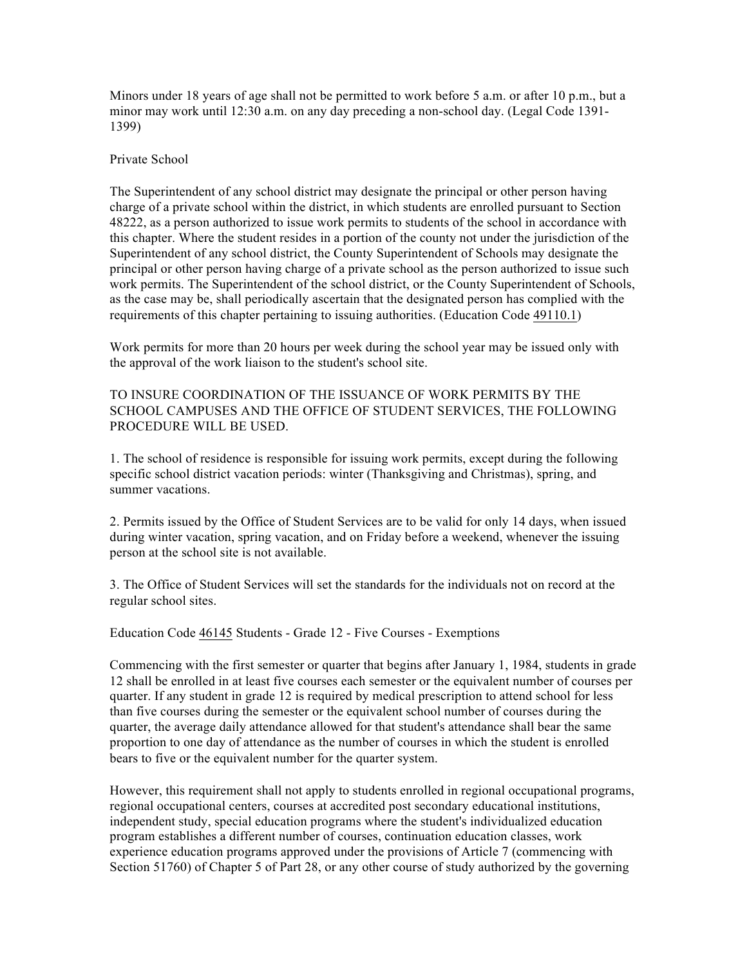Minors under 18 years of age shall not be permitted to work before 5 a.m. or after 10 p.m., but a minor may work until 12:30 a.m. on any day preceding a non-school day. (Legal Code 1391- 1399)

## Private School

The Superintendent of any school district may designate the principal or other person having charge of a private school within the district, in which students are enrolled pursuant to Section 48222, as a person authorized to issue work permits to students of the school in accordance with this chapter. Where the student resides in a portion of the county not under the jurisdiction of the Superintendent of any school district, the County Superintendent of Schools may designate the principal or other person having charge of a private school as the person authorized to issue such work permits. The Superintendent of the school district, or the County Superintendent of Schools, as the case may be, shall periodically ascertain that the designated person has complied with the requirements of this chapter pertaining to issuing authorities. (Education Code 49110.1)

Work permits for more than 20 hours per week during the school year may be issued only with the approval of the work liaison to the student's school site.

TO INSURE COORDINATION OF THE ISSUANCE OF WORK PERMITS BY THE SCHOOL CAMPUSES AND THE OFFICE OF STUDENT SERVICES, THE FOLLOWING PROCEDURE WILL BE USED.

1. The school of residence is responsible for issuing work permits, except during the following specific school district vacation periods: winter (Thanksgiving and Christmas), spring, and summer vacations.

2. Permits issued by the Office of Student Services are to be valid for only 14 days, when issued during winter vacation, spring vacation, and on Friday before a weekend, whenever the issuing person at the school site is not available.

3. The Office of Student Services will set the standards for the individuals not on record at the regular school sites.

Education Code 46145 Students - Grade 12 - Five Courses - Exemptions

Commencing with the first semester or quarter that begins after January 1, 1984, students in grade 12 shall be enrolled in at least five courses each semester or the equivalent number of courses per quarter. If any student in grade 12 is required by medical prescription to attend school for less than five courses during the semester or the equivalent school number of courses during the quarter, the average daily attendance allowed for that student's attendance shall bear the same proportion to one day of attendance as the number of courses in which the student is enrolled bears to five or the equivalent number for the quarter system.

However, this requirement shall not apply to students enrolled in regional occupational programs, regional occupational centers, courses at accredited post secondary educational institutions, independent study, special education programs where the student's individualized education program establishes a different number of courses, continuation education classes, work experience education programs approved under the provisions of Article 7 (commencing with Section 51760) of Chapter 5 of Part 28, or any other course of study authorized by the governing